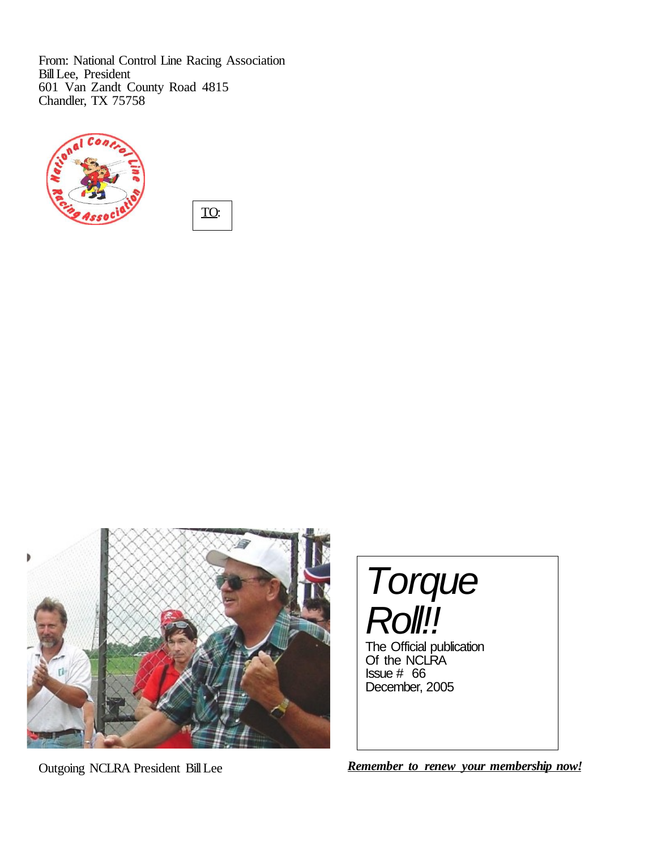From: National Control Line Racing Association Bill Lee, President 601 Van Zandt County Road 4815 Chandler, TX 75758



TO:



Torque **Roll!!** The Official publication

Of the NCLRA Issue # 66 December, 2005

Outgoing NCLRA President BillLee *Remember to renew your membership now!*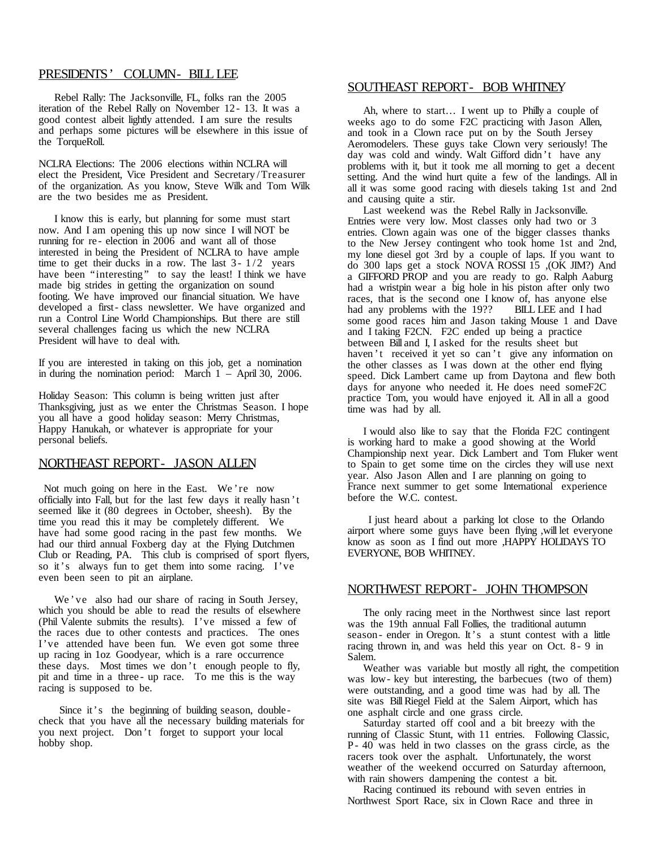### PRESIDENTS' COLUMN- BILL LEE

Rebel Rally: The Jacksonville, FL, folks ran the 2005 iteration of the Rebel Rally on November 12 - 13. It was a good contest albeit lightly attended. I am sure the results and perhaps some pictures will be elsewhere in this issue of the TorqueRoll.

NCLRA Elections: The 2006 elections within NCLRA will elect the President, Vice President and Secretary /Treasurer of the organization. As you know, Steve Wilk and Tom Wilk are the two besides me as President.

I know this is early, but planning for some must start now. And I am opening this up now since I will NOT be running for re- election in  $200\overline{6}$  and want all of those interested in being the President of NCLRA to have ample time to get their ducks in a row. The last  $3 - 1/2$  years have been "interesting" to say the least! I think we have made big strides in getting the organization on sound footing. We have improved our financial situation. We have developed a first- class newsletter. We have organized and run a Control Line World Championships. But there are still several challenges facing us which the new NCLRA President will have to deal with.

If you are interested in taking on this job, get a nomination in during the nomination period: March 1 – April 30, 2006.

Holiday Season: This column is being written just after Thanksgiving, just as we enter the Christmas Season. I hope you all have a good holiday season: Merry Christmas, Happy Hanukah, or whatever is appropriate for your personal beliefs.

### NORTHEAST REPORT- JASON ALLEN

Not much going on here in the East. We 're now officially into Fall, but for the last few days it really hasn 't seemed like it (80 degrees in October, sheesh). By the time you read this it may be completely different. We have had some good racing in the past few months. We had our third annual Foxberg day at the Flying Dutchmen Club or Reading, PA. This club is comprised of sport flyers, so it's always fun to get them into some racing. I've even been seen to pit an airplane.

We 've also had our share of racing in South Jersey, which you should be able to read the results of elsewhere (Phil Valente submits the results). I've missed a few of the races due to other contests and practices. The ones I've attended have been fun. We even got some three up racing in 1oz Goodyear, which is a rare occurrence these days. Most times we don 't enough people to fly, pit and time in a three - up race. To me this is the way racing is supposed to be.

Since it's the beginning of building season, doublecheck that you have all the necessary building materials for you next project. Don 't forget to support your local hobby shop.

#### SOUTHEAST REPORT- BOB WHITNEY

Ah, where to start… I went up to Philly a couple of weeks ago to do some F2C practicing with Jason Allen, and took in a Clown race put on by the South Jersey Aeromodelers. These guys take Clown very seriously! The day was cold and windy. Walt Gifford didn 't have any problems with it, but it took me all morning to get a decent setting. And the wind hurt quite a few of the landings. All in all it was some good racing with diesels taking 1st and 2nd and causing quite a stir.

Last weekend was the Rebel Rally in Jacksonville. Entries were very low. Most classes only had two or 3 entries. Clown again was one of the bigger classes thanks to the New Jersey contingent who took home 1st and 2nd, my lone diesel got 3rd by a couple of laps. If you want to do 300 laps get a stock NOVA ROSSI 15 ,(OK JIM?) And a GIFFORD PROP and you are ready to go. Ralph Aaburg had a wristpin wear a big hole in his piston after only two races, that is the second one I know of, has anyone else had any problems with the 19?? BILL LEE and I had had any problems with the 19?? some good races him and Jason taking Mouse 1 and Dave and I taking F2CN. F2C ended up being a practice between Bill and I, I asked for the results sheet but haven't received it yet so can't give any information on the other classes as I was down at the other end flying speed. Dick Lambert came up from Daytona and flew both days for anyone who needed it. He does need someF2C practice Tom, you would have enjoyed it. All in all a good time was had by all.

I would also like to say that the Florida F2C contingent is working hard to make a good showing at the World Championship next year. Dick Lambert and Tom Fluker went to Spain to get some time on the circles they will use next year. Also Jason Allen and I are planning on going to France next summer to get some International experience before the W.C. contest.

I just heard about a parking lot close to the Orlando airport where some guys have been flying ,willlet everyone know as soon as I find out more ,HAPPY HOLIDAYS TO EVERYONE, BOB WHITNEY.

### NORTHWEST REPORT- JOHN THOMPSON

The only racing meet in the Northwest since last report was the 19th annual Fall Follies, the traditional autumn season - ender in Oregon. It's a stunt contest with a little racing thrown in, and was held this year on Oct. 8 - 9 in Salem.

Weather was variable but mostly all right, the competition was low- key but interesting, the barbecues (two of them) were outstanding, and a good time was had by all. The site was BillRiegel Field at the Salem Airport, which has one asphalt circle and one grass circle.

Saturday started off cool and a bit breezy with the running of Classic Stunt, with 11 entries. Following Classic, P- 40 was held in two classes on the grass circle, as the racers took over the asphalt. Unfortunately, the worst weather of the weekend occurred on Saturday afternoon, with rain showers dampening the contest a bit.

Racing continued its rebound with seven entries in Northwest Sport Race, six in Clown Race and three in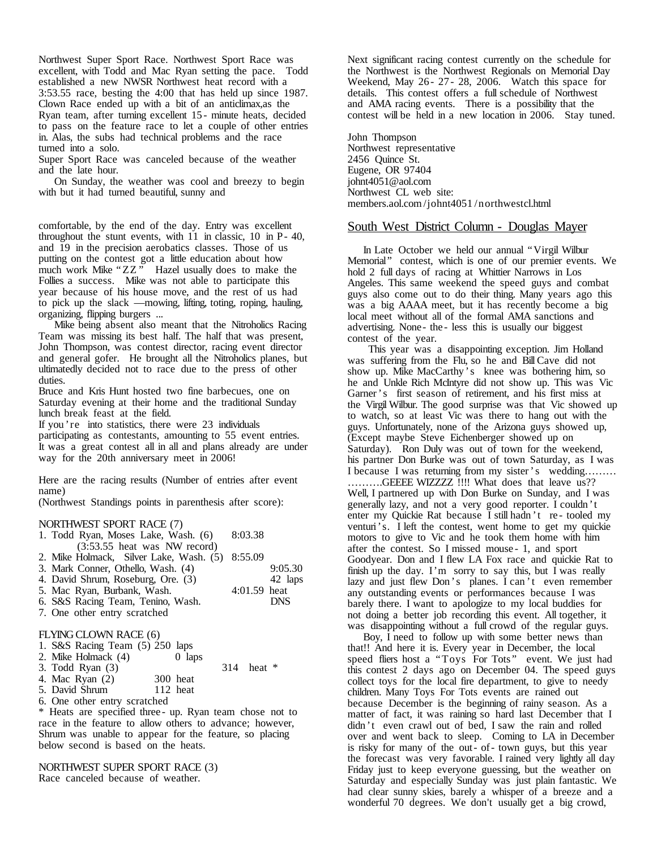Northwest Super Sport Race. Northwest Sport Race was excellent, with Todd and Mac Ryan setting the pace. Todd established a new NWSR Northwest heat record with a 3:53.55 race, besting the 4:00 that has held up since 1987. Clown Race ended up with a bit of an anticlimax,as the Ryan team, after turning excellent 15 - minute heats, decided to pass on the feature race to let a couple of other entries in. Alas, the subs had technical problems and the race turned into a solo.

Super Sport Race was canceled because of the weather and the late hour.

On Sunday, the weather was cool and breezy to begin with but it had turned beautiful, sunny and

comfortable, by the end of the day. Entry was excellent throughout the stunt events, with 11 in classic, 10 in P- 40, and 19 in the precision aerobatics classes. Those of us putting on the contest got a little education about how much work Mike "ZZ" Hazel usually does to make the Follies a success. Mike was not able to participate this year because of his house move, and the rest of us had to pick up the slack —mowing, lifting, toting, roping, hauling, organizing, flipping burgers ...

Mike being absent also meant that the Nitroholics Racing Team was missing its best half. The half that was present, John Thompson, was contest director, racing event director and general gofer. He brought all the Nitroholics planes, but ultimatedly decided not to race due to the press of other duties.

Bruce and Kris Hunt hosted two fine barbecues, one on Saturday evening at their home and the traditional Sunday lunch break feast at the field.

If you 're into statistics, there were 23 individuals participating as contestants, amounting to 55 event entries. It was a great contest all in all and plans already are under way for the 20th anniversary meet in 2006!

Here are the racing results (Number of entries after event name)

(Northwest Standings points in parenthesis after score):

#### NORTHWEST SPORT RACE (7)

| 1. Todd Ryan, Moses Lake, Wash. (6)             | 8:03.38      |            |
|-------------------------------------------------|--------------|------------|
| $(3:53.55$ heat was NW record)                  |              |            |
| 2. Mike Holmack, Silver Lake, Wash. (5) 8:55.09 |              |            |
| 3. Mark Conner, Othello, Wash. (4)              |              | 9:05.30    |
| 4. David Shrum, Roseburg, Ore. (3)              |              | 42 laps    |
| 5. Mac Ryan, Burbank, Wash.                     | 4:01.59 heat |            |
| 6. S&S Racing Team, Tenino, Wash.               |              | <b>DNS</b> |
| 7. One other entry scratched                    |              |            |
|                                                 |              |            |
| $\Box$ VAIC CLOUNLE LOD                         |              |            |

#### FLYING CLOWN RACE (6)

| 1. S&S Racing Team (5) 250 laps |          |              |
|---------------------------------|----------|--------------|
| 2. Mike Holmack (4)             | 0 laps   |              |
| 3. Todd Ryan $(3)$              |          | 314 heat $*$ |
| 4. Mac Ryan (2)                 | 300 heat |              |
| 5. David Shrum                  | 112 heat |              |
| 6. One other entry scratched    |          |              |

\* Heats are specified three - up. Ryan team chose not to race in the feature to allow others to advance; however, Shrum was unable to appear for the feature, so placing below second is based on the heats.

NORTHWEST SUPER SPORT RACE (3) Race canceled because of weather.

Next significant racing contest currently on the schedule for the Northwest is the Northwest Regionals on Memorial Day Weekend, May 26 - 27 - 28, 2006. Watch this space for details. This contest offers a full schedule of Northwest and AMA racing events. There is a possibility that the contest will be held in a new location in 2006. Stay tuned.

John Thompson Northwest representative 2456 Quince St. Eugene, OR 97404 johnt4051@aol.com Northwest CL web site: members.aol.com/johnt4051 /northwestcl.html

### South West District Column - Douglas Mayer

In Late October we held our annual "Virgil Wilbur Memorial" contest, which is one of our premier events. We hold 2 full days of racing at Whittier Narrows in Los Angeles. This same weekend the speed guys and combat guys also come out to do their thing. Many years ago this was a big AAAA meet, but it has recently become a big local meet without all of the formal AMA sanctions and advertising. None- the - less this is usually our biggest contest of the year.

This year was a disappointing exception. Jim Holland was suffering from the Flu, so he and BillCave did not show up. Mike MacCarthy 's knee was bothering him, so he and Unkle Rich McIntyre did not show up. This was Vic Garner's first season of retirement, and his first miss at the Virgil Wilbur. The good surprise was that Vic showed up to watch, so at least Vic was there to hang out with the guys. Unfortunately, none of the Arizona guys showed up, (Except maybe Steve Eichenberger showed up on Saturday). Ron Duly was out of town for the weekend, his partner Don Burke was out of town Saturday, as I was I because I was returning from my sister's wedding……… ……….GEEEE WIZZZZ !!!! What does that leave us?? Well, I partnered up with Don Burke on Sunday, and I was generally lazy, and not a very good reporter. I couldn 't enter my Quickie Rat because I still hadn 't re - tooled my venturi's. I left the contest, went home to get my quickie motors to give to Vic and he took them home with him after the contest. So I missed mouse - 1, and sport Goodyear. Don and I flew LA Fox race and quickie Rat to finish up the day. I'm sorry to say this, but  $\bar{I}$  was really lazy and just flew Don 's planes. I can 't even remember any outstanding events or performances because I was barely there. I want to apologize to my local buddies for not doing a better job recording this event. All together, it was disappointing without a full crowd of the regular guys.

Boy, I need to follow up with some better news than that!! And here it is. Every year in December, the local speed fliers host a "Toys For Tots" event. We just had this contest 2 days ago on December 04. The speed guys collect toys for the local fire department, to give to needy children. Many Toys For Tots events are rained out because December is the beginning of rainy season. As a matter of fact, it was raining so hard last December that I didn 't even crawl out of bed, I saw the rain and rolled over and went back to sleep. Coming to LA in December is risky for many of the out- of- town guys, but this year the forecast was very favorable. I rained very lightly all day Friday just to keep everyone guessing, but the weather on Saturday and especially Sunday was just plain fantastic. We had clear sunny skies, barely a whisper of a breeze and a wonderful 70 degrees. We don't usually get a big crowd,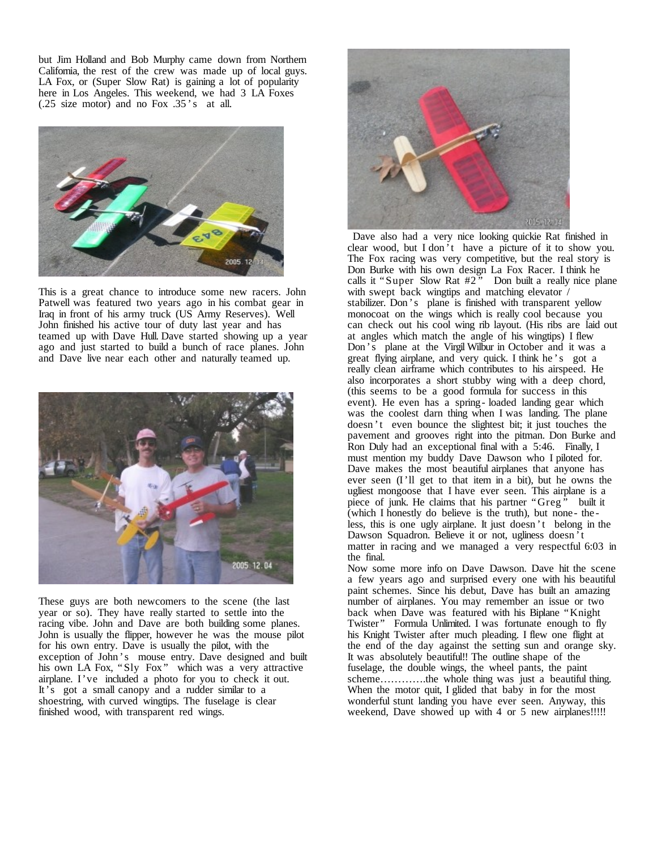but Jim Holland and Bob Murphy came down from Northern California, the rest of the crew was made up of local guys. LA Fox, or (Super Slow Rat) is gaining a lot of popularity here in Los Angeles. This weekend, we had 3 LA Foxes (.25 size motor) and no Fox .35 's at all.



This is a great chance to introduce some new racers. John Patwell was featured two years ago in his combat gear in Iraq in front of his army truck (US Army Reserves). Well John finished his active tour of duty last year and has teamed up with Dave Hull. Dave started showing up a year ago and just started to build a bunch of race planes. John and Dave live near each other and naturally teamed up.



These guys are both newcomers to the scene (the last year or so). They have really started to settle into the racing vibe. John and Dave are both building some planes. John is usually the flipper, however he was the mouse pilot for his own entry. Dave is usually the pilot, with the exception of John 's mouse entry. Dave designed and built his own LA Fox, "Sly Fox," which was a very attractive airplane. I've included a photo for you to check it out. It's got a small canopy and a rudder similar to a shoestring, with curved wingtips. The fuselage is clear finished wood, with transparent red wings.



Dave also had a very nice looking quickie Rat finished in clear wood, but I don 't have a picture of it to show you. The Fox racing was very competitive, but the real story is Don Burke with his own design La Fox Racer. I think he calls it "Super Slow Rat  $#2"$  Don built a really nice plane with swept back wingtips and matching elevator / stabilizer. Don 's plane is finished with transparent yellow monocoat on the wings which is really cool because you can check out his cool wing rib layout. (His ribs are laid out at angles which match the angle of his wingtips) I flew Don 's plane at the Virgil Wilbur in October and it was a great flying airplane, and very quick. I think he 's got a really clean airframe which contributes to his airspeed. He also incorporates a short stubby wing with a deep chord, (this seems to be a good formula for success in this event). He even has a spring- loaded landing gear which was the coolest darn thing when I was landing. The plane doesn 't even bounce the slightest bit; it just touches the pavement and grooves right into the pitman. Don Burke and Ron Duly had an exceptional final with a 5:46. Finally, I must mention my buddy Dave Dawson who I piloted for. Dave makes the most beautiful airplanes that anyone has ever seen (I'll get to that item in a bit), but he owns the ugliest mongoose that I have ever seen. This airplane is a piece of junk. He claims that his partner "Greg" built it (which I honestly do believe is the truth), but none - the less, this is one ugly airplane. It just doesn 't belong in the Dawson Squadron. Believe it or not, ugliness doesn 't matter in racing and we managed a very respectful 6:03 in the final.

Now some more info on Dave Dawson. Dave hit the scene a few years ago and surprised every one with his beautiful paint schemes. Since his debut, Dave has built an amazing number of airplanes. You may remember an issue or two back when Dave was featured with his Biplane "Knight Twister" Formula Unlimited. I was fortunate enough to fly his Knight Twister after much pleading. I flew one flight at the end of the day against the setting sun and orange sky. It was absolutely beautiful!! The outline shape of the fuselage, the double wings, the wheel pants, the paint scheme…………the whole thing was just a beautiful thing. When the motor quit, I glided that baby in for the most wonderful stunt landing you have ever seen. Anyway, this weekend, Dave showed up with 4 or 5 new airplanes!!!!!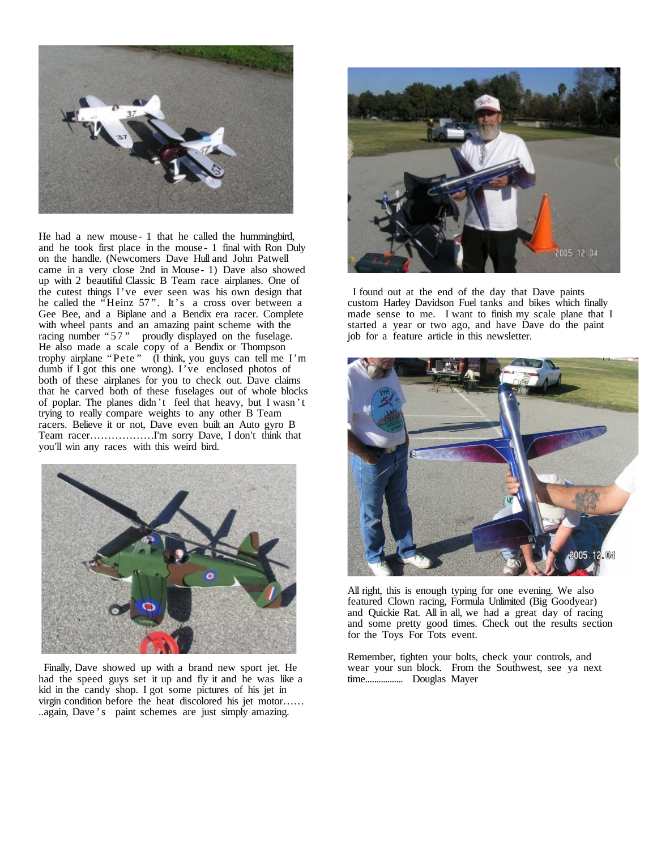

He had a new mouse - 1 that he called the hummingbird, and he took first place in the mouse - 1 final with Ron Duly on the handle. (Newcomers Dave Hull and John Patwell came in a very close 2nd in Mouse - 1) Dave also showed up with 2 beautiful Classic B Team race airplanes. One of the cutest things I've ever seen was his own design that he called the "Heinz 57". It's a cross over between a Gee Bee, and a Biplane and a Bendix era racer. Complete with wheel pants and an amazing paint scheme with the racing number "57" proudly displayed on the fuselage. He also made a scale copy of a Bendix or Thompson trophy airplane "Pete " (I think, you guys can tell me I'm dumb if I got this one wrong). I've enclosed photos of both of these airplanes for you to check out. Dave claims that he carved both of these fuselages out of whole blocks of poplar. The planes didn 't feel that heavy, but I wasn 't trying to really compare weights to any other B Team racers. Believe it or not, Dave even built an Auto gyro B Team racer………………I'm sorry Dave, I don't think that you'll win any races with this weird bird.



Finally, Dave showed up with a brand new sport jet. He had the speed guys set it up and fly it and he was like a kid in the candy shop. I got some pictures of his jet in virgin condition before the heat discolored his jet motor…… ..again, Dave 's paint schemes are just simply amazing.



I found out at the end of the day that Dave paints custom Harley Davidson Fuel tanks and bikes which finally made sense to me. I want to finish my scale plane that I started a year or two ago, and have Dave do the paint job for a feature article in this newsletter.



All right, this is enough typing for one evening. We also featured Clown racing, Formula Unlimited (Big Goodyear) and Quickie Rat. All in all, we had a great day of racing and some pretty good times. Check out the results section for the Toys For Tots event.

Remember, tighten your bolts, check your controls, and wear your sun block. From the Southwest, see ya next time................. Douglas Mayer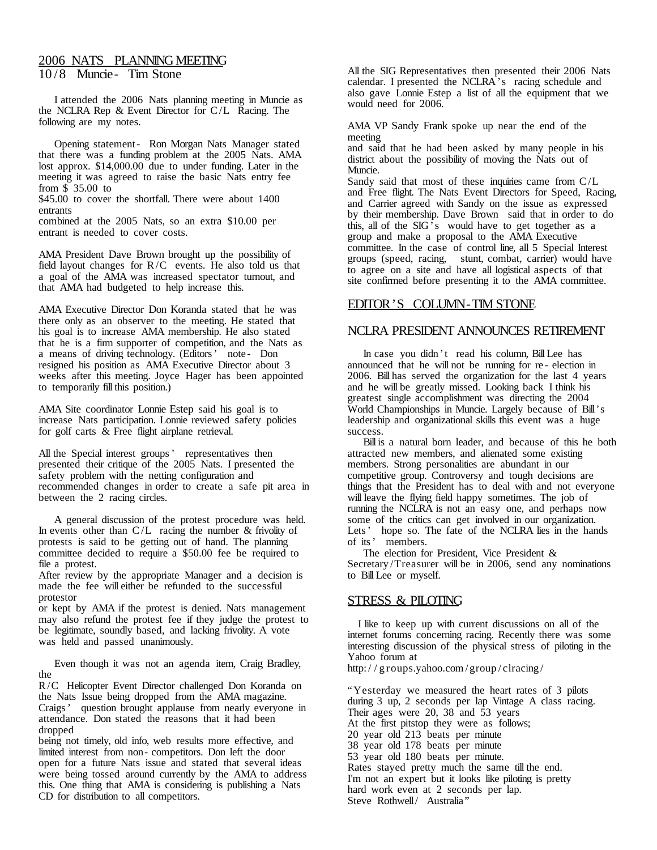## 2006 NATS PLANNINGMEETING 10 /8 Muncie- Tim Stone

I attended the 2006 Nats planning meeting in Muncie as the NCLRA Rep & Event Director for C/L Racing. The following are my notes.

Opening statement- Ron Morgan Nats Manager stated that there was a funding problem at the 2005 Nats. AMA lost approx. \$14,000.00 due to under funding. Later in the meeting it was agreed to raise the basic Nats entry fee from \$ 35.00 to

\$45.00 to cover the shortfall. There were about 1400 entrants

combined at the 2005 Nats, so an extra \$10.00 per entrant is needed to cover costs.

AMA President Dave Brown brought up the possibility of field layout changes for  $R/C$  events. He also told us that a goal of the AMA was increased spectator turnout, and that AMA had budgeted to help increase this.

AMA Executive Director Don Koranda stated that he was there only as an observer to the meeting. He stated that his goal is to increase AMA membership. He also stated that he is a firm supporter of competition, and the Nats as a means of driving technology. (Editors' note - Don resigned his position as AMA Executive Director about 3 weeks after this meeting. Joyce Hager has been appointed to temporarily fill this position.)

AMA Site coordinator Lonnie Estep said his goal is to increase Nats participation. Lonnie reviewed safety policies for golf carts & Free flight airplane retrieval.

All the Special interest groups' representatives then presented their critique of the 2005 Nats. I presented the safety problem with the netting configuration and recommended changes in order to create a safe pit area in between the 2 racing circles.

A general discussion of the protest procedure was held. In events other than  $C/L$  racing the number & frivolity of protests is said to be getting out of hand. The planning committee decided to require a \$50.00 fee be required to file a protest.

After review by the appropriate Manager and a decision is made the fee will either be refunded to the successful protestor

or kept by AMA if the protest is denied. Nats management may also refund the protest fee if they judge the protest to be legitimate, soundly based, and lacking frivolity. A vote was held and passed unanimously.

Even though it was not an agenda item, Craig Bradley, the

R/C Helicopter Event Director challenged Don Koranda on the Nats Issue being dropped from the AMA magazine. Craigs' question brought applause from nearly everyone in attendance. Don stated the reasons that it had been dropped

being not timely, old info, web results more effective, and limited interest from non- competitors. Don left the door open for a future Nats issue and stated that several ideas were being tossed around currently by the AMA to address this. One thing that AMA is considering is publishing a Nats CD for distribution to all competitors.

All the SIG Representatives then presented their 2006 Nats calendar. I presented the NCLRA's racing schedule and also gave Lonnie Estep a list of all the equipment that we would need for 2006.

AMA VP Sandy Frank spoke up near the end of the meeting

and said that he had been asked by many people in his district about the possibility of moving the Nats out of Muncie.

Sandy said that most of these inquiries came from  $C/L$ and Free flight. The Nats Event Directors for Speed, Racing, and Carrier agreed with Sandy on the issue as expressed by their membership. Dave Brown said that in order to do this, all of the  $SIG<sup>5</sup>$  would have to get together as a group and make a proposal to the AMA Executive committee. In the case of control line, all 5 Special Interest groups (speed, racing, stunt, combat, carrier) would have to agree on a site and have all logistical aspects of that site confirmed before presenting it to the AMA committee.

# EDITOR'S COLUMN-TIM STONE

# NCLRA PRESIDENT ANNOUNCES RETIREMENT

In case you didn 't read his column, BillLee has announced that he will not be running for re - election in 2006. Bill has served the organization for the last 4 years and he will be greatly missed. Looking back I think his greatest single accomplishment was directing the 2004 World Championships in Muncie. Largely because of Bill's leadership and organizational skills this event was a huge success.

Billis a natural born leader, and because of this he both attracted new members, and alienated some existing members. Strong personalities are abundant in our competitive group. Controversy and tough decisions are things that the President has to deal with and not everyone will leave the flying field happy sometimes. The job of running the NCLRA is not an easy one, and perhaps now some of the critics can get involved in our organization. Lets' hope so. The fate of the NCLRA lies in the hands of its' members.

The election for President, Vice President & Secretary /Treasurer will be in 2006, send any nominations to Bill Lee or myself.

# STRESS & PILOTING

I like to keep up with current discussions on all of the internet forums concerning racing. Recently there was some interesting discussion of the physical stress of piloting in the Yahoo forum at

http:/ / g roups.yahoo.com/group / clracing /

"Yesterday we measured the heart rates of 3 pilots during 3 up, 2 seconds per lap Vintage A class racing. Their ages were 20, 38 and 53 years At the first pitstop they were as follows; 20 year old 213 beats per minute 38 year old 178 beats per minute 53 year old 180 beats per minute. Rates stayed pretty much the same till the end. I'm not an expert but it looks like piloting is pretty hard work even at 2 seconds per lap. Steve Rothwell/ Australia"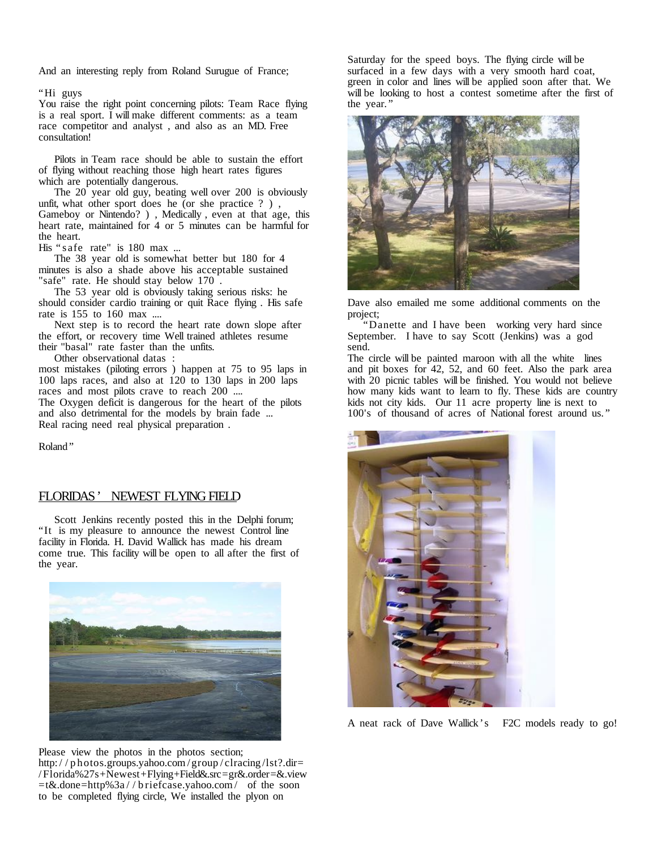And an interesting reply from Roland Surugue of France;

"Hi guys

You raise the right point concerning pilots: Team Race flying is a real sport. I will make different comments: as a team race competitor and analyst , and also as an MD. Free consultation!

Pilots in Team race should be able to sustain the effort of flying without reaching those high heart rates figures which are potentially dangerous.

The 20 year old guy, beating well over 200 is obviously unfit, what other sport does he (or she practice ? ) , Gameboy or Nintendo? ) , Medically , even at that age, this heart rate, maintained for 4 or 5 minutes can be harmful for the heart.

His " s afe rate" is 180 max ...

The 38 year old is somewhat better but 180 for 4 minutes is also a shade above his acceptable sustained "safe" rate. He should stay below 170 .

The 53 year old is obviously taking serious risks: he should consider cardio training or quit Race flying . His safe rate is 155 to 160 max ....

Next step is to record the heart rate down slope after the effort, or recovery time Well trained athletes resume their "basal" rate faster than the unfits.

Other observational datas :

most mistakes (piloting errors ) happen at 75 to 95 laps in 100 laps races, and also at 120 to 130 laps in 200 laps races and most pilots crave to reach 200 ....

The Oxygen deficit is dangerous for the heart of the pilots and also detrimental for the models by brain fade ... Real racing need real physical preparation .

Roland"

## FLORIDAS' NEWEST FLYING FIELD

Scott Jenkins recently posted this in the Delphi forum; "It is my pleasure to announce the newest Control line facility in Florida. H. David Wallick has made his dream come true. This facility will be open to all after the first of the year.



Please view the photos in the photos section; http:/ / p hotos.groups.yahoo.com /group / clracing /lst?.dir= /Florida%27s+Newest+Flying+Field&.src=gr&.order=&.view =t&.done=http%3a / / b riefcase.yahoo.com/ of the soon to be completed flying circle, We installed the plyon on

Saturday for the speed boys. The flying circle will be surfaced in a few days with a very smooth hard coat, green in color and lines will be applied soon after that. We will be looking to host a contest sometime after the first of the year. "



Dave also emailed me some additional comments on the project;

"Danette and I have been working very hard since September. I have to say Scott (Jenkins) was a god send.

The circle will be painted maroon with all the white lines and pit boxes for 42, 52, and 60 feet. Also the park area with 20 picnic tables will be finished. You would not believe how many kids want to learn to fly. These kids are country kids not city kids. Our 11 acre property line is next to 100's of thousand of acres of National forest around us.'



A neat rack of Dave Wallick's F2C models ready to go!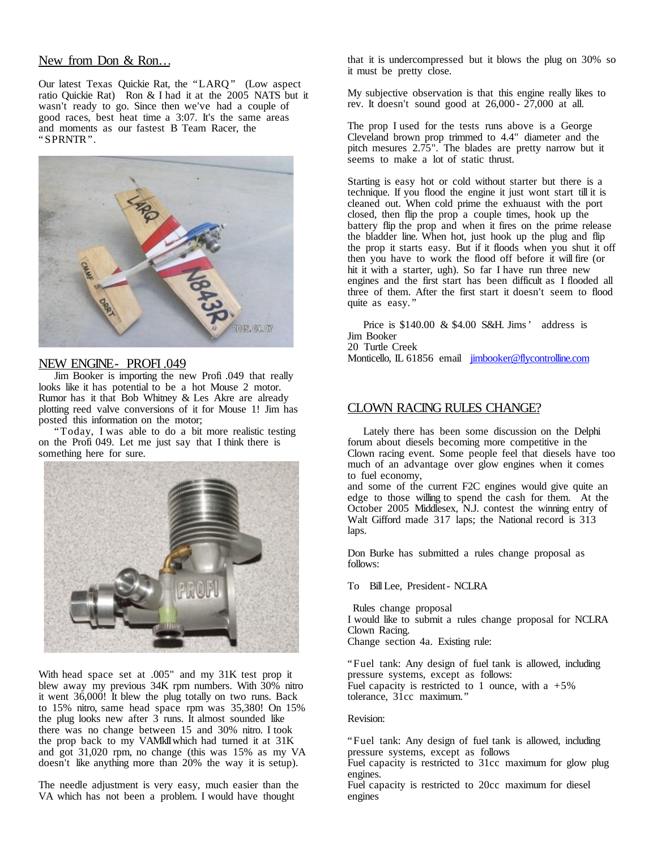# New from Don & Ron…

Our latest Texas Quickie Rat, the "LARQ" (Low aspect ratio Quickie Rat) Ron & I had it at the 2005 NATS but it wasn't ready to go. Since then we've had a couple of good races, best heat time a 3:07. It's the same areas and moments as our fastest B Team Racer, the "SPRNTR".



## NEW ENGINE- PROFI .049

Jim Booker is importing the new Profi .049 that really looks like it has potential to be a hot Mouse 2 motor. Rumor has it that Bob Whitney & Les Akre are already plotting reed valve conversions of it for Mouse 1! Jim has posted this information on the motor;

"Today, I was able to do a bit more realistic testing on the Profi 049. Let me just say that I think there is something here for sure.



With head space set at .005" and my 31K test prop it blew away my previous 34K rpm numbers. With 30% nitro it went 36,000! It blew the plug totally on two runs. Back to 15% nitro, same head space rpm was 35,380! On 15% the plug looks new after 3 runs. It almost sounded like there was no change between 15 and 30% nitro. I took the prop back to my VAMkIIwhich had turned it at 31K and got 31,020 rpm, no change (this was 15% as my VA doesn't like anything more than 20% the way it is setup).

The needle adjustment is very easy, much easier than the VA which has not been a problem. I would have thought

that it is undercompressed but it blows the plug on 30% so it must be pretty close.

My subjective observation is that this engine really likes to rev. It doesn't sound good at 26,000 - 27,000 at all.

The prop I used for the tests runs above is a George Cleveland brown prop trimmed to 4.4" diameter and the pitch mesures 2.75". The blades are pretty narrow but it seems to make a lot of static thrust.

Starting is easy hot or cold without starter but there is a technique. If you flood the engine it just wont start tillit is cleaned out. When cold prime the exhuaust with the port closed, then flip the prop a couple times, hook up the battery flip the prop and when it fires on the prime release the bladder line. When hot, just hook up the plug and flip the prop it starts easy. But if it floods when you shut it off then you have to work the flood off before it will fire (or hit it with a starter, ugh). So far I have run three new engines and the first start has been difficult as I flooded all three of them. After the first start it doesn't seem to flood quite as easy."

Price is \$140.00 & \$4.00 S&H. Jims' address is Jim Booker 20 Turtle Creek Monticello, IL 61856 email [jimbooker@flycontrolline.com](mailto:jimbooker@flycontrolline.com)

## CLOWN RACING RULES CHANGE?

Lately there has been some discussion on the Delphi forum about diesels becoming more competitive in the Clown racing event. Some people feel that diesels have too much of an advantage over glow engines when it comes to fuel economy,

and some of the current F2C engines would give quite an edge to those willing to spend the cash for them. At the October 2005 Middlesex, N.J. contest the winning entry of Walt Gifford made 317 laps; the National record is 313 laps.

Don Burke has submitted a rules change proposal as follows:

To BillLee, President- NCLRA

Rules change proposal I would like to submit a rules change proposal for NCLRA Clown Racing. Change section 4a. Existing rule:

"Fuel tank: Any design of fuel tank is allowed, including pressure systems, except as follows: Fuel capacity is restricted to 1 ounce, with a  $+5\%$ tolerance, 31cc maximum."

### Revision:

"Fuel tank: Any design of fuel tank is allowed, including pressure systems, except as follows

Fuel capacity is restricted to 31cc maximum for glow plug engines.

Fuel capacity is restricted to 20cc maximum for diesel engines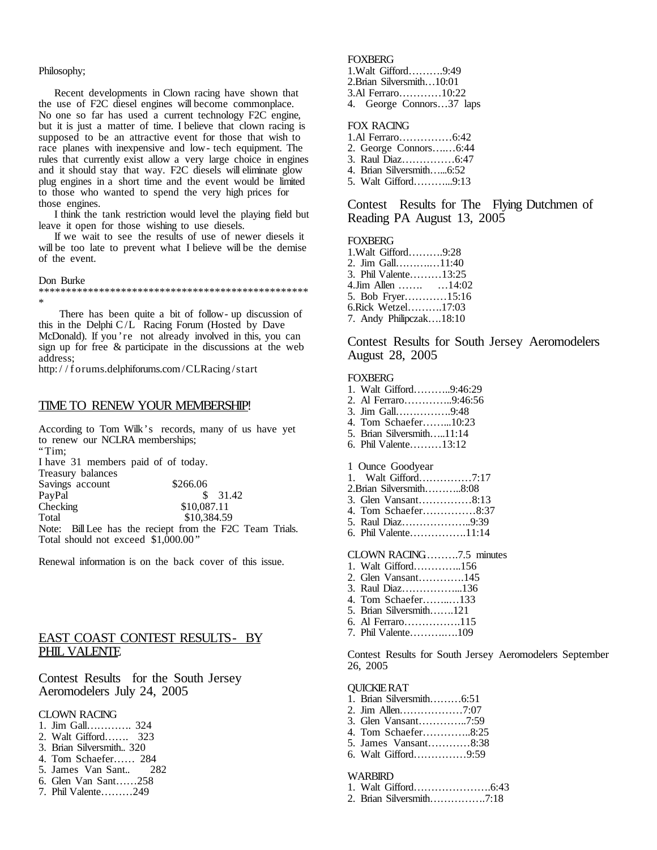#### Philosophy;

Recent developments in Clown racing have shown that the use of F2C diesel engines will become commonplace. No one so far has used a current technology F2C engine, but it is just a matter of time. I believe that clown racing is supposed to be an attractive event for those that wish to race planes with inexpensive and low- tech equipment. The rules that currently exist allow a very large choice in engines and it should stay that way. F2C diesels will eliminate glow plug engines in a short time and the event would be limited to those who wanted to spend the very high prices for those engines.

I think the tank restriction would level the playing field but leave it open for those wishing to use diesels.

If we wait to see the results of use of newer diesels it will be too late to prevent what I believe will be the demise of the event.

#### Don Burke

#### \*\*\*\*\*\*\*\*\*\*\*\*\*\*\*\*\*\*\*\*\*\*\*\*\*\*\*\*\*\*\*\*\*\*\*\*\*\*\*\*\*\*\*\*\*\*\*\*\* \*

There has been quite a bit of follow- up discussion of this in the Delphi C/L Racing Forum (Hosted by Dave McDonald). If you 're not already involved in this, you can sign up for free & participate in the discussions at the web address;

http:/ / f orums.delphiforums.com/CLRacing /start

#### TIME TO RENEW YOUR MEMBERSHIP!

According to Tom Wilk's records, many of us have yet to renew our NCLRA memberships; "Tim; I have 31 members paid of of today. Treasury balances Savings account \$266.06<br>PayPal \$  $$31.42$ Checking \$10,087.11 Total \$10,384.59 Note: BillLee has the reciept from the F2C Team Trials. Total should not exceed \$1,000.00 "

Renewal information is on the back cover of this issue.

# EAST COAST CONTEST RESULTS- BY PHIL VALENTE

Contest Results for the South Jersey Aeromodelers July 24, 2005

### CLOWN RACING

- 1. Jim Gall…………. 324
- 2. Walt Gifford……. 323
- 3. Brian Silversmith.. 320
- 4. Tom Schaefer…… 284
- 5. James Van Sant.. 282
- 6. Glen Van Sant……258
- 7. Phil Valente………249

#### FOXBERG

1.Walt Gifford……….9:49

- 2.Brian Silversmith…10:01
- 3.Al Ferraro…………10:22
- 4. George Connors…37 laps

### FOX RACING

- 1.Al Ferraro……………6:42
- 2. George Connors….…6:44 3. Raul Diaz……………6:47
- 4. Brian Silversmith…...6:52
- 5. Walt Gifford………...9:13

Contest Results for The Flying Dutchmen of Reading PA August 13, 2005

#### **FOXBERG**

| 1. Walt Gifford9:28     |  |
|-------------------------|--|
| 2. Jim Gall11:40        |  |
| 3. Phil Valente13:25    |  |
| 4.Jim Allen  14:02      |  |
| 5. Bob Fryer15:16       |  |
| 6.Rick Wetzel17:03      |  |
| 7. Andy Philipczak18:10 |  |

Contest Results for South Jersey Aeromodelers August 28, 2005

#### **FOXBERG**

| 1. Walt Gifford9:46:29    |
|---------------------------|
| 2. Al Ferraro9:46:56      |
| 3. Jim Gall9:48           |
| 4. Tom Schaefer10:23      |
| 5. Brian Silversmith11:14 |
| 6. Phil Valente13:12      |
|                           |
| 1 Ounce Goodyear          |
|                           |
| 2. Brian Silversmith8:08  |
| 3. Glen Vansant8:13       |
| 4. Tom Schaefer8:37       |
| 5. Raul Diaz9:39          |
| 6. Phil Valente11:14      |
|                           |
| CLOWN RACING7.5 minutes   |
| 1. Walt Gifford156        |
| 2. Glen Vansant145        |
| 3. Raul Diaz136           |
|                           |

- 4. Tom Schaefer……..…133
- 5. Brian Silversmith…….121
- 6. Al Ferraro…………….115
- 7. Phil Valente……….….109

Contest Results for South Jersey Aeromodelers September 26, 2005

#### QUICKIERAT

- 1. Brian Silversmith………6:51 2. Jim Allen………………7:07 3. Glen Vansant…………..7:59
- 4. Tom Schaefer…………..8:25
- 5. James Vansant…………8:38
- 6. Walt Gifford……………9:59

#### **WARBIRD**

- 1. Walt Gifford………………….6:43
- 2. Brian Silversmith…………….7:18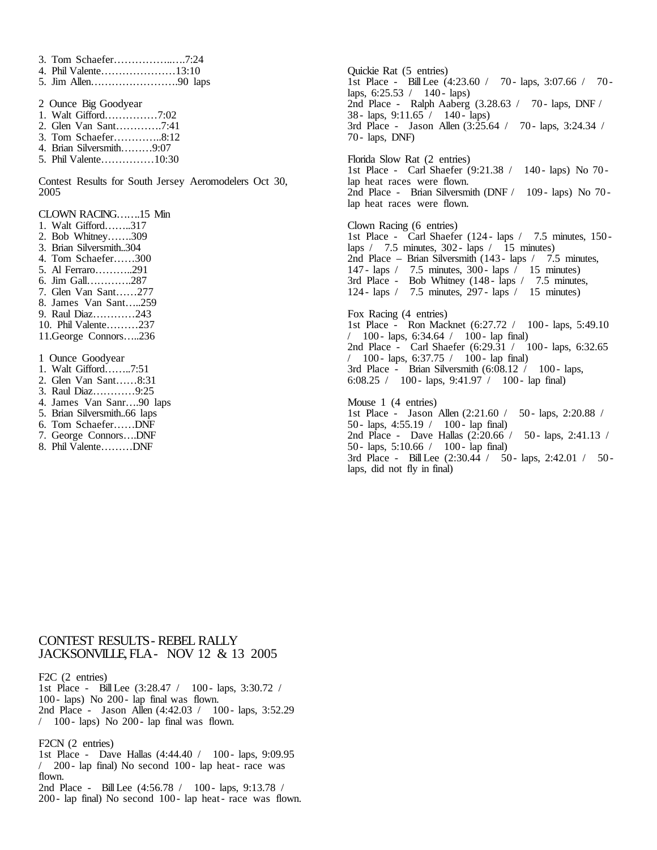- 3. Tom Schaefer……………..….7:24
- 4. Phil Valente…………………13:10
- 5. Jim Allen…………………….90 laps
- 2 Ounce Big Goodyear
- 1. Walt Gifford……………7:02
- 2. Glen Van Sant………….7:41
- 3. Tom Schaefer…………..8:12 4. Brian Silversmith………9:07
- 5. Phil Valente……………10:30
- 

Contest Results for South Jersey Aeromodelers Oct 30, 2005

CLOWN RACING…….15 Min

- 1. Walt Gifford……..317
- 2. Bob Whitney…….309
- 3. Brian Silversmith..304
- 4. Tom Schaefer……300
- 5. Al Ferraro………..291
- 6. Jim Gall………….287
- 7. Glen Van Sant……277
- 8. James Van Sant…..259
- 9. Raul Diaz…………243
- 10. Phil Valente………237
- 11.George Connors…..236

1 Ounce Goodyear

- 1. Walt Gifford……..7:51
- 2. Glen Van Sant……8:31
- 3. Raul Diaz…………9:25
- 4. James Van Sanr….90 laps
- 5. Brian Silversmith..66 laps
- 6. Tom Schaefer……DNF
- 7. George Connors….DNF
- 8. Phil Valente………DNF

Quickie Rat (5 entries) 1st Place - BillLee (4:23.60 / 70 - laps, 3:07.66 / 70 laps,  $6:25.53 / 140$  - laps) 2nd Place - Ralph Aaberg (3.28.63 / 70 - laps, DNF / 38 - laps,  $9:11.65 / 140$  - laps) 3rd Place - Jason Allen (3:25.64 / 70 - laps, 3:24.34 / 70 - laps, DNF)

Florida Slow Rat (2 entries) 1st Place - Carl Shaefer (9:21.38 / 140 - laps) No 70 lap heat races were flown. 2nd Place - Brian Silversmith (DNF / 109 - laps) No 70 lap heat races were flown.

Clown Racing (6 entries) 1st Place - Carl Shaefer (124 - laps / 7.5 minutes, 150 laps  $/$  7.5 minutes, 302 - laps  $/$  15 minutes) 2nd Place – Brian Silversmith (143 - laps / 7.5 minutes, 147 - laps / 7.5 minutes, 300 - laps / 15 minutes) 3rd Place - Bob Whitney (148 - laps / 7.5 minutes, 124 - laps / 7.5 minutes, 297 - laps / 15 minutes)

Fox Racing (4 entries) 1st Place - Ron Macknet (6:27.72 / 100 - laps, 5:49.10  $/$  100 - laps, 6:34.64  $/$  100 - lap final) 2nd Place - Carl Shaefer (6:29.31 / 100 - laps, 6:32.65 / 100 - laps, 6:37.75 / 100 - lap final) 3rd Place - Brian Silversmith  $(6:08.12 \t/ 100 - \text{lags},$ 6:08.25 / 100 - laps, 9:41.97 / 100 - lap final) Mouse 1 (4 entries) 1st Place - Jason Allen (2:21.60 / 50 - laps, 2:20.88 / 50 - laps, 4:55.19 / 100 - lap final) 2nd Place - Dave Hallas (2:20.66 / 50 - laps, 2:41.13 / 50 - laps, 5:10.66 / 100 - lap final)

3rd Place - Bill Lee (2:30.44 / 50 - laps, 2:42.01 / 50 laps, did not fly in final)

# CONTEST RESULTS- REBEL RALLY JACKSONVILLE,FLA- NOV 12 & 13 2005

F2C (2 entries)

- 1st Place BillLee (3:28.47 / 100 laps, 3:30.72 / 100 - laps) No  $200$  - lap final was flown. 2nd Place - Jason Allen (4:42.03 / 100 - laps, 3:52.29)
- $/$  100 laps) No 200 lap final was flown.

#### F2CN (2 entries)

1st Place - Dave Hallas (4:44.40 / 100 - laps, 9:09.95 / 200 - lap final) No second 100 - lap heat - race was flown.

2nd Place - Bill Lee (4:56.78 / 100 - laps, 9:13.78 / 200 - lap final) No second 100 - lap heat- race was flown.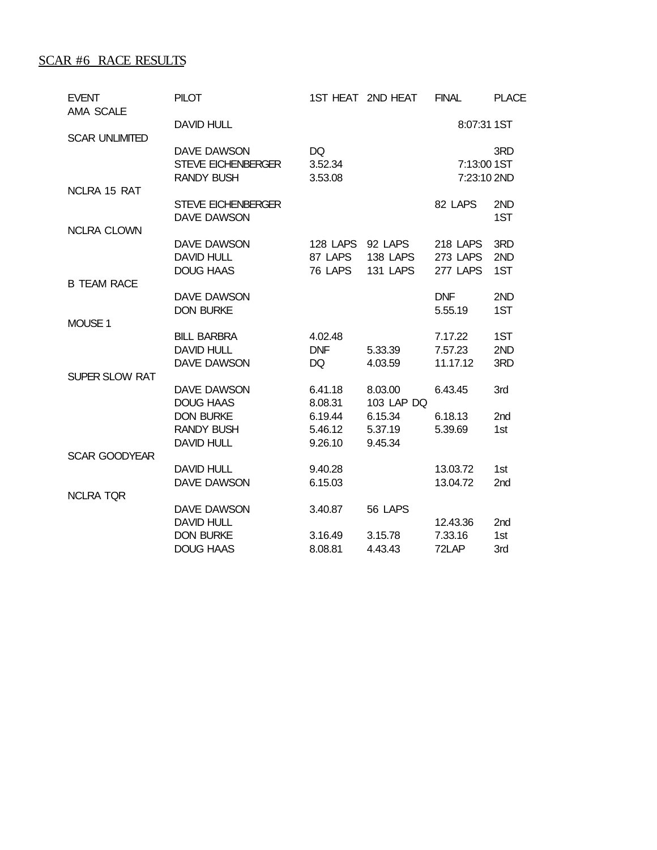# SCAR #6 RACE RESULTS

| <b>EVENT</b><br><b>AMA SCALE</b> | <b>PILOT</b>                                                  |                                | 1ST HEAT 2ND HEAT               | <b>FINAL</b>                                   | <b>PLACE</b>           |
|----------------------------------|---------------------------------------------------------------|--------------------------------|---------------------------------|------------------------------------------------|------------------------|
|                                  | <b>DAVID HULL</b>                                             |                                |                                 | 8:07:31 1ST                                    |                        |
| <b>SCAR UNLIMITED</b>            | DAVE DAWSON<br><b>STEVE EICHENBERGER</b><br><b>RANDY BUSH</b> | DQ<br>3.52.34<br>3.53.08       |                                 | 7:13:00 1ST<br>7:23:10 2ND                     | 3RD                    |
| NCLRA 15 RAT                     | <b>STEVE EICHENBERGER</b><br>DAVE DAWSON                      |                                |                                 | 82 LAPS                                        | 2ND<br>1ST             |
| <b>NCLRA CLOWN</b>               |                                                               |                                |                                 |                                                |                        |
|                                  | DAVE DAWSON<br><b>DAVID HULL</b><br><b>DOUG HAAS</b>          | 128 LAPS<br>87 LAPS<br>76 LAPS | 92 LAPS<br>138 LAPS<br>131 LAPS | <b>218 LAPS</b><br><b>273 LAPS</b><br>277 LAPS | 3RD<br>2ND<br>1ST      |
| <b>B TEAM RACE</b>               |                                                               |                                |                                 |                                                |                        |
|                                  | DAVE DAWSON<br><b>DON BURKE</b>                               |                                |                                 | <b>DNF</b><br>5.55.19                          | 2ND<br>1ST             |
| MOUSE 1                          |                                                               |                                |                                 |                                                |                        |
|                                  | <b>BILL BARBRA</b><br><b>DAVID HULL</b><br>DAVE DAWSON        | 4.02.48<br><b>DNF</b><br>DQ    | 5.33.39<br>4.03.59              | 7.17.22<br>7.57.23<br>11.17.12                 | 1ST<br>2ND<br>3RD      |
| <b>SUPER SLOW RAT</b>            |                                                               |                                |                                 |                                                |                        |
|                                  | DAVE DAWSON<br><b>DOUG HAAS</b>                               | 6.41.18<br>8.08.31             | 8.03.00<br>103 LAP DQ           | 6.43.45                                        | 3rd                    |
|                                  | <b>DON BURKE</b><br><b>RANDY BUSH</b>                         | 6.19.44<br>5.46.12             | 6.15.34<br>5.37.19              | 6.18.13<br>5.39.69                             | 2 <sub>nd</sub><br>1st |
| <b>SCAR GOODYEAR</b>             | <b>DAVID HULL</b>                                             | 9.26.10                        | 9.45.34                         |                                                |                        |
|                                  | <b>DAVID HULL</b>                                             | 9.40.28                        |                                 | 13.03.72                                       | 1st                    |
| <b>NCLRA TQR</b>                 | DAVE DAWSON                                                   | 6.15.03                        |                                 | 13.04.72                                       | 2nd                    |
|                                  | DAVE DAWSON                                                   | 3.40.87                        | 56 LAPS                         |                                                |                        |
|                                  | <b>DAVID HULL</b>                                             |                                |                                 | 12.43.36                                       | 2 <sub>nd</sub>        |
|                                  | <b>DON BURKE</b><br><b>DOUG HAAS</b>                          | 3.16.49<br>8.08.81             | 3.15.78<br>4.43.43              | 7.33.16<br>72LAP                               | 1st<br>3rd             |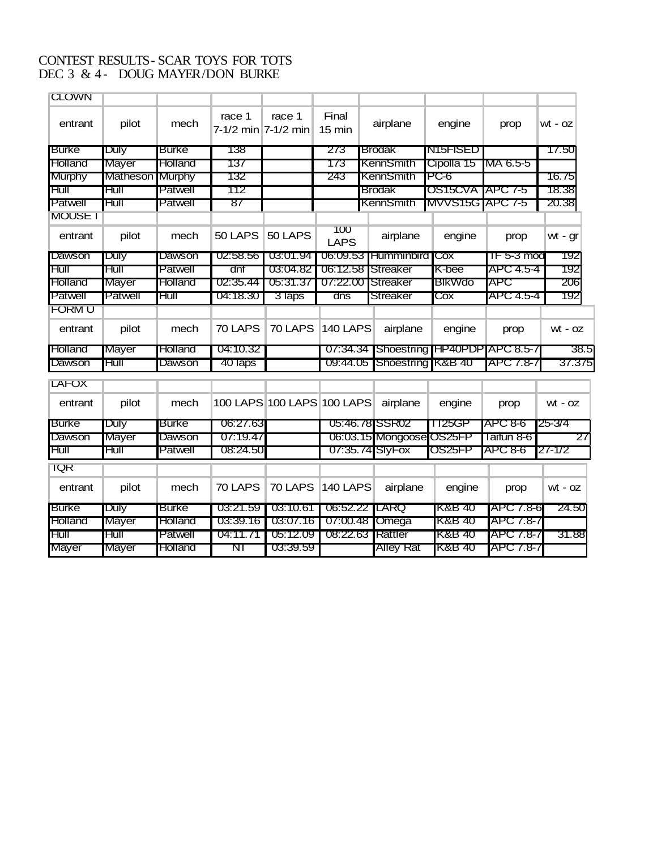# CONTEST RESULTS- SCAR TOYS FOR TOTS DEC 3 & 4- DOUG MAYER/DON BURKE

| <b>CLOWN</b>   |              |                |                               |                            |                           |                          |                              |            |           |
|----------------|--------------|----------------|-------------------------------|----------------------------|---------------------------|--------------------------|------------------------------|------------|-----------|
| entrant        | pilot        | mech           | race 1<br>7-1/2 min 7-1/2 min | race 1                     | Final<br>$15 \text{ min}$ | airplane                 | engine                       | prop       | wt - oz   |
| <b>Burke</b>   | Duly         | Burke          | 138                           |                            | 273                       | <b>Brodak</b>            | IN15FISED                    |            | 17.50     |
| <b>Holland</b> | Mayer        | Holland        | 137                           |                            | 173                       | KennSmith                | Cipolla 15                   | MA 6.5-5   |           |
| <b>Murphy</b>  | Matheson     | <b>Murphy</b>  | 132                           |                            | 243                       | KennSmith                | PC-6                         |            | 16.75     |
| Hull           | Hull         | Patwell        | 112                           |                            |                           | <b>Brodak</b>            | OS15CVA   APC 7-5            |            | 18.38     |
| Patwell        | Hull         | Patwell        | 87                            |                            |                           | <b>KennSmith</b>         | <b>MVVS15G APC 7-5</b>       |            | 20.38     |
| <b>MOUSE I</b> |              |                |                               |                            |                           |                          |                              |            |           |
| entrant        | pilot        | mech           | 50 LAPS                       | 50 LAPS                    | 100<br>LAPS               | airplane                 | engine                       | prop       | wt - gr   |
| Dawson         | Duly         | Dawson         | 02:58.56                      | 03:01.94                   |                           | 06:09.53 Humminbird      | <b>ICox</b>                  | TF 5-3 mod | 192       |
| Hull           | Hull         | Patwell        | dnf                           | 03:04.82                   | 06:12.58                  | Streaker                 | K-bee                        | APC 4.5-4  | 192       |
| Holland        | Mayer        | Holland        | 02:35.44                      | 05:31.37                   | 07:22.00                  | Streaker                 | <b>BIKWdo</b>                | APC        | 206       |
| Patwell        | Patwell      | Hull           | 04:18.30                      | 3 laps                     | dns                       | Streaker                 | Cox                          | APC 4.5-4  | 192       |
| <b>FORM U</b>  |              |                |                               |                            |                           |                          |                              |            |           |
| entrant        | pilot        | mech           | 70 LAPS                       | 70 LAPS                    | <b>140 LAPS</b>           | airplane                 | engine                       | prop       | $wt - oz$ |
| Holland        | Mayer        | Holland        | 04:10.32                      |                            | 07:34.34                  |                          | Shoestring HP40PDP APC 8.5-7 |            | 38.5      |
| Dawson         | Hull         | Dawson         | 40 laps                       |                            | 09:44.05                  |                          | Shoestring K&B 40            | APC 7.8-7  | 37.375    |
| <b>LAFOX</b>   |              |                |                               |                            |                           |                          |                              |            |           |
| entrant        | pilot        | mech           |                               | 100 LAPS 100 LAPS 100 LAPS |                           | airplane                 | engine                       | prop       | $wt - oz$ |
| <b>Burke</b>   | <b>Duly</b>  | <b>Burke</b>   | 06:27.63                      |                            |                           | 05:46.78 SSR02           | 1125GP                       | APC 8-6    | 25-3/4    |
| Dawson         | Mayer        | Dawson         | 07:19.47                      |                            |                           | 06:03.15 Mongoose OS25FP |                              | Taitun 8-6 | 27        |
| Hull           | Hull         | Patwell        | 08:24.50                      |                            |                           | 07:35.74 SlyFox          | OS25FP                       | APC 8-6    | 27-1/2    |
| <b>IQR</b>     |              |                |                               |                            |                           |                          |                              |            |           |
| entrant        | pilot        | mech           | 70 LAPS                       | 70 LAPS                    | <b>140 LAPS</b>           | airplane                 | engine                       | prop       | $wt - oz$ |
| <b>Burke</b>   | Duly         | <b>Burke</b>   | 03:21.59                      | 03:10.61                   | 06:52.22                  | <b>LARQ</b>              | K&B 40                       | APC 7.8-6  | 24.50     |
| <b>Holland</b> | <b>Mayer</b> | <b>Holland</b> | 03:39.16                      | 03:07.16                   | 07:00.48                  | Omega                    | K&B 40                       | APC 7.8-7  |           |
| Hull           | Hull         | Patwell        | 04:11.71                      | 05:12.09                   |                           | 08:22.63 Rattler         | K&B 40                       | APC 7.8-7  | 31.88     |

Mayer Mayer Holland NT 03:39.59 Alley Rat K&B 40 APC 7.8-7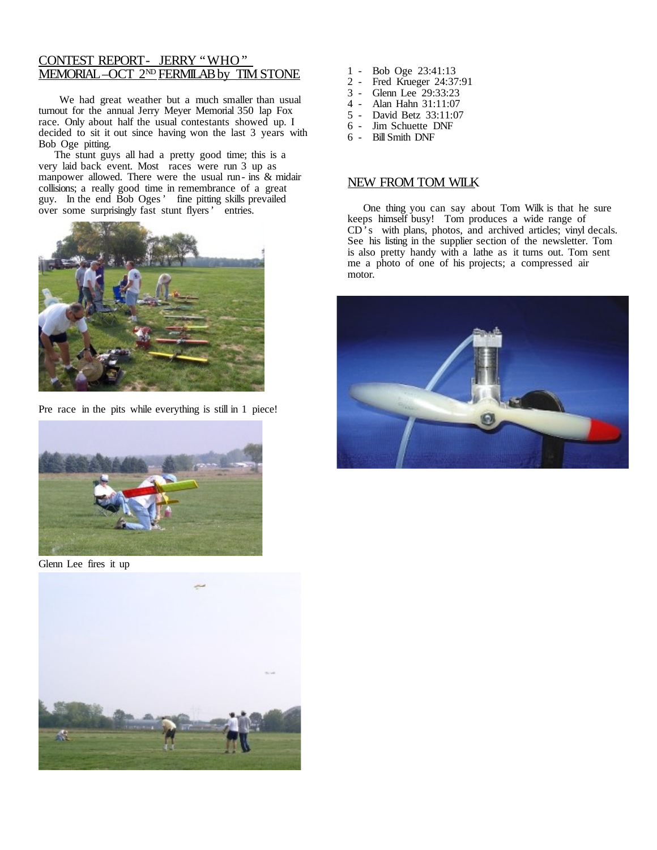# CONTEST REPORT- JERRY "WHO" <u>MEMORIAL–OCT 2ND FERMILAB by TIM STONE</u>

We had great weather but a much smaller than usual turnout for the annual Jerry Meyer Memorial 350 lap Fox race. Only about half the usual contestants showed up. I decided to sit it out since having won the last 3 years with Bob Oge pitting.

The stunt guys all had a pretty good time; this is a very laid back event. Most races were run 3 up as manpower allowed. There were the usual run- ins & midair collisions; a really good time in remembrance of a great guy. In the end Bob Oges' fine pitting skills prevailed over some surprisingly fast stunt flyers' entries.



Pre race in the pits while everything is still in 1 piece!



Glenn Lee fires it up



- 1 Bob Oge 23:41:13<br>2 Fred Krueger 24:37
- Fred Krueger 24:37:91
- 3 Glenn Lee 29:33:23
- 4 Alan Hahn 31:11:07
- 5 David Betz 33:11:07
- 6 Jim Schuette DNF
- 6 BillSmith DNF

## NEW FROM TOM WILK

One thing you can say about Tom Wilk is that he sure keeps himself busy! Tom produces a wide range of CD's with plans, photos, and archived articles; vinyl decals. See his listing in the supplier section of the newsletter. Tom is also pretty handy with a lathe as it turns out. Tom sent me a photo of one of his projects; a compressed air motor.

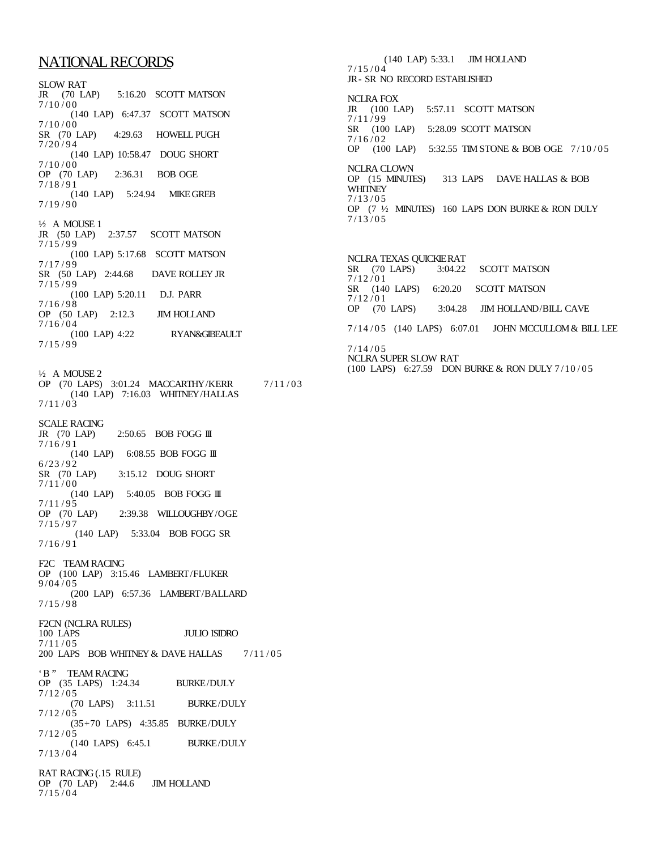# NATIONALRECORDS

SLOW RAT JR (70 LAP) 5:16.20 SCOTT MATSON  $7/10/00$ (140 LAP) 6:47.37 SCOTT MATSON  $7/10/00$ <br>SR (70 LAP) 4:29.63 HOWELL PUGH  $7/20/94$ (140 LAP) 10:58.47 DOUG SHORT  $7/10/00$ <br>OP (70 LAP) 2:36.31 BOB OGE  $7/18/91$ (140 LAP) 5:24.94 MIKE GREB  $7/19/90$ ½ A MOUSE 1 JR (50 LAP) 2:37.57 SCOTT MATSON  $7/15/99$ (100 LAP) 5:17.68 SCOTT MATSON  $7/17/99$ SR (50 LAP) 2:44.68 DAVE ROLLEY JR  $7/15/99$ (100 LAP) 5:20.11 D.J. PARR  $7/16/98$ OP (50 LAP) 2:12.3 JIM HOLLAND  $7/16/04$ <br>(100 LAP) 4:22 RYAN&GIBEAULT 7 /15 / 9 9 ½ A MOUSE 2 OP (70 LAPS) 3:01.24 MACCARTHY/KERR 7/11/03 (140 LAP) 7:16.03 WHITNEY/HALLAS  $7/11/03$ SCALE RACING<br>JR (70 LAP)  $2:50.65$  BOB FOGG III  $7/16/91$ (140 LAP) 6:08.55 BOB FOGG III  $6/23/92$ <br>SR (70 LAP) 3:15.12 DOUG SHORT  $7/11/00$ (140 LAP) 5:40.05 BOB FOGG III  $7/11/95$ <br>OP (70 LAP)

2:39.38 WILLOUGHBY/OGE  $7/15/97$ (140 LAP) 5:33.04 BOB FOGG SR 7 /16 / 9 1

F2C TEAM RACING OP (100 LAP) 3:15.46 LAMBERT/FLUKER 9 /04 / 0 5 (200 LAP) 6:57.36 LAMBERT/BALLARD  $7/15/98$ 

F2CN (NCLRA RULES) 100 LAPS JULIO ISIDRO  $7/11/05$ 200 LAPS BOB WHITNEY & DAVE HALLAS 7/11/05

'B " TEAM RACING OP (35 LAPS) 1:24.34 BURKE/DULY  $7/12/05$ (70 LAPS) 3:11.51 BURKE/DULY  $7/12/05$ (35+70 LAPS) 4:35.85 BURKE/DULY  $7/12/05$ (140 LAPS) 6:45.1 BURKE/DULY  $7/13/04$ 

RAT RACING(.15 RULE) OP (70 LAP) 2:44.6 JIM HOLLAND  $7/15/04$ 

(140 LAP) 5:33.1 JIM HOLLAND  $7/15/04$ JR- SR NO RECORD ESTABLISHED NCLRA FOX JR (100 LAP) 5:57.11 SCOTT MATSON  $7/11/99$ SR (100 LAP) 5:28.09 SCOTT MATSON  $7/16/02$ OP (100 LAP) 5:32.55 TIM STONE & BOB OGE 7/10/05 NCLRA CLOWN<br>OP (15 MINUTES) 313 LAPS DAVE HALLAS & BOB **WHITNEY**  $7/13/05$ OP (7 ½ MINUTES) 160 LAPS DON BURKE & RON DULY  $7/13/05$ 

NCLRA TEXAS QUICKIERAT<br>SR (70 LAPS) 3:04.22 3:04.22 SCOTT MATSON  $7/12/01$ 6:20.20 SCOTT MATSON SR  $(140$  LAPS)<br> $7/12/01$ OP (70 LAPS) 3:04.28 JIM HOLLAND/BILL CAVE 7/14/05 (140 LAPS) 6:07.01 JOHN MCCULLOM & BILL LEE  $7/14/05$ 

NCLRA SUPER SLOW RAT (100 LAPS) 6:27.59 DON BURKE & RON DULY 7 /10 / 05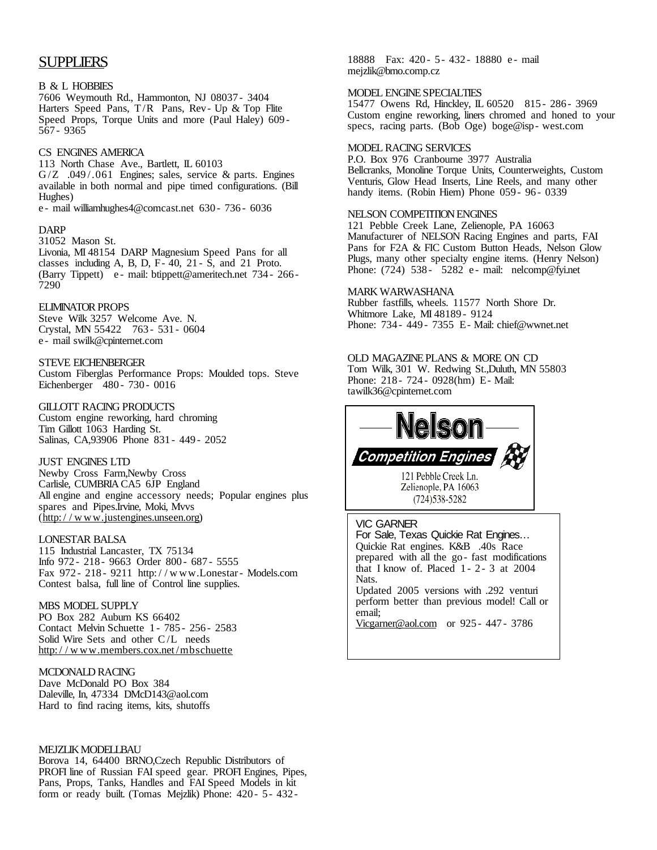# SUPPLIERS

#### B & L HOBBIES

7606 Weymouth Rd., Hammonton, NJ 08037 - 3404 Harters Speed Pans, T/R Pans, Rev- Up & Top Flite Speed Props, Torque Units and more (Paul Haley) 609 - 567 - 9365

#### CS ENGINES AMERICA

113 North Chase Ave., Bartlett, IL 60103 G/Z .049/.061 Engines; sales, service & parts. Engines available in both normal and pipe timed configurations. (Bill Hughes)

e - mail williamhughes4@comcast.net 630 - 736 - 6036

#### DARP

31052 Mason St.

Livonia, MI 48154 DARP Magnesium Speed Pans for all classes including A, B, D,  $F-40$ ,  $21-S$ , and  $21$  Proto. (Barry Tippett) e - mail: btippett@ameritech.net 734 - 266 - 7290

### **ELIMINATOR PROPS**

Steve Wilk 3257 Welcome Ave. N. Crystal, MN 55422 763 - 531 - 0604 e - mail swilk@cpinternet.com

#### STEVE EICHENBERGER

Custom Fiberglas Performance Props: Moulded tops. Steve Eichenberger 480 - 730 - 0016

#### GILLOTT RACING PRODUCTS

Custom engine reworking, hard chroming Tim Gillott 1063 Harding St. Salinas, CA,93906 Phone 831 - 449 - 2052

#### JUST ENGINES LTD

Newby Cross Farm,Newby Cross Carlisle, CUMBRIA CA5 6JP England All engine and engine accessory needs; Popular engines plus spares and Pipes.Irvine, Moki, Mvvs (http://w[ww.justengines.unseen.org\)](http://www.justengines.unseen.org/)

#### LONESTAR BALSA

115 Industrial Lancaster, TX 75134 Info 972 - 218 - 9663 Order 800 - 687 - 5555 Fax 972 - 218 - 9211 http:/ / w ww.Lonestar- Models.com Contest balsa, full line of Control line supplies.

#### MBS MODEL SUPPLY

PO Box 282 Auburn KS 66402 Contact Melvin Schuette 1 - 785 - 256 - 2583 Solid Wire Sets and other C/L needs http:/ / w [ww.members.cox.net/mbschuette](http://www.members.cox.net/mbschuette)

#### MCDONALD RACING

Dave McDonald PO Box 384 Daleville, In, 47334 DMcD143@aol.com Hard to find racing items, kits, shutoffs

### MEJZLIKMODELLBAU

Borova 14, 64400 BRNO,Czech Republic Distributors of PROFI line of Russian FAI speed gear. PROFI Engines, Pipes, Pans, Props, Tanks, Handles and FAI Speed Models in kit form or ready built. (Tomas Mejzlik) Phone: 420 - 5- 432 -

18888 Fax: 420 - 5- 432 - 18880 e - mail mejzlik@brno.comp.cz

#### MODEL ENGINESPECIALTIES

15477 Owens Rd, Hinckley, IL 60520 815 - 286 - 3969 Custom engine reworking, liners chromed and honed to your specs, racing parts. (Bob Oge) boge@isp- west.com

### MODEL RACING SERVICES

P.O. Box 976 Cranbourne 3977 Australia Bellcranks, Monoline Torque Units, Counterweights, Custom Venturis, Glow Head Inserts, Line Reels, and many other handy items. (Robin Hiern) Phone 059 - 96 - 0339

#### NELSON COMPETITION ENGINES

121 Pebble Creek Lane, Zelienople, PA 16063 Manufacturer of NELSON Racing Engines and parts, FAI Pans for F2A & FIC Custom Button Heads, Nelson Glow Plugs, many other specialty engine items. (Henry Nelson) Phone: (724) 538 - 5282 e - mail: nelcomp@fyi.net

#### MARK WARWASHANA

Rubber fastfills, wheels. 11577 North Shore Dr. Whitmore Lake, MI 48189 - 9124 Phone: 734 - 449 - 7355 E- Mail: chief@wwnet.net

OLD MAGAZINEPLANS & MORE ON CD Tom Wilk, 301 W. Redwing St.,Duluth, MN 55803 Phone: 218 - 724 - 0928(hm) E- Mail: tawilk36@cpinternet.com



#### VIC GARNER

For Sale, Texas Quickie Rat Engines… Quickie Rat engines. K&B .40s Race prepared with all the go - fast modifications that I know of. Placed  $1 - 2 - 3$  at 2004 Nats. Updated 2005 versions with .292 venturi perform better than previous model! Call or email; [Vicgarner@aol.com](mailto:Vicgarner@aol.com) or 925 - 447 - 3786